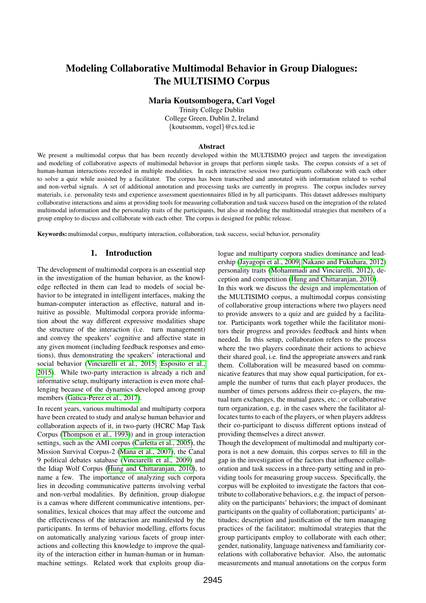# Modeling Collaborative Multimodal Behavior in Group Dialogues: The MULTISIMO Corpus

Maria Koutsombogera, Carl Vogel

Trinity College Dublin College Green, Dublin 2, Ireland {koutsomm, vogel}@cs.tcd.ie

#### Abstract

We present a multimodal corpus that has been recently developed within the MULTISIMO project and targets the investigation and modeling of collaborative aspects of multimodal behavior in groups that perform simple tasks. The corpus consists of a set of human-human interactions recorded in multiple modalities. In each interactive session two participants collaborate with each other to solve a quiz while assisted by a facilitator. The corpus has been transcribed and annotated with information related to verbal and non-verbal signals. A set of additional annotation and processing tasks are currently in progress. The corpus includes survey materials, i.e. personality tests and experience assessment questionnaires filled in by all participants. This dataset addresses multiparty collaborative interactions and aims at providing tools for measuring collaboration and task success based on the integration of the related multimodal information and the personality traits of the participants, but also at modeling the multimodal strategies that members of a group employ to discuss and collaborate with each other. The corpus is designed for public release.

Keywords: multimodal corpus, multiparty interaction, collaboration, task success, social behavior, personality

#### 1. Introduction

The development of multimodal corpora is an essential step in the investigation of the human behavior, as the knowledge reflected in them can lead to models of social behavior to be integrated in intelligent interfaces, making the human-computer interaction as effective, natural and intuitive as possible. Multimodal corpora provide information about the way different expressive modalities shape the structure of the interaction (i.e. turn management) and convey the speakers' cognitive and affective state in any given moment (including feedback responses and emotions), thus demonstrating the speakers' interactional and social behavior [\(Vinciarelli et al., 2015;](#page-6-0) [Esposito et al.,](#page-5-0) [2015\)](#page-5-0). While two-party interaction is already a rich and informative setup, multiparty interaction is even more challenging because of the dynamics developed among group members [\(Gatica-Perez et al., 2017\)](#page-6-1).

In recent years, various multimodal and multiparty corpora have been created to study and analyse human behavior and collaboration aspects of it, in two-party (HCRC Map Task Corpus [\(Thompson et al., 1993\)](#page-6-2)) and in group interaction settings, such as the AMI corpus [\(Carletta et al., 2005\)](#page-5-1), the Mission Survival Corpus-2 [\(Mana et al., 2007\)](#page-6-3), the Canal 9 political debates satabase [\(Vinciarelli et al., 2009\)](#page-6-4) and the Idiap Wolf Corpus [\(Hung and Chittaranjan, 2010\)](#page-6-5), to name a few. The importance of analyzing such corpora lies in decoding communicative patterns involving verbal and non-verbal modalities. By definition, group dialogue is a canvas where different communicative intentions, personalities, lexical choices that may affect the outcome and the effectiveness of the interaction are manifested by the participants. In terms of behavior modelling, efforts focus on automatically analyzing various facets of group interactions and collecting this knowledge to improve the quality of the interaction either in human-human or in humanmachine settings. Related work that exploits group dialogue and multiparty corpora studies dominance and leadership [\(Jayagopi et al., 2009;](#page-6-6) [Nakano and Fukuhara, 2012\)](#page-6-7) personality traits [\(Mohammadi and Vinciarelli, 2012\)](#page-6-8), deception and competition [\(Hung and Chittaranjan, 2010\)](#page-6-5).

In this work we discuss the design and implementation of the MULTISIMO corpus, a multimodal corpus consisting of collaborative group interactions where two players need to provide answers to a quiz and are guided by a facilitator. Participants work together while the facilitator monitors their progress and provides feedback and hints when needed. In this setup, collaboration refers to the process where the two players coordinate their actions to achieve their shared goal, i.e. find the appropriate answers and rank them. Collaboration will be measured based on communicative features that may show equal participation, for example the number of turns that each player produces, the number of times persons address their co-players, the mutual turn exchanges, the mutual gazes, etc.; or collaborative turn organization, e.g. in the cases where the facilitator allocates turns to each of the players, or when players address their co-participant to discuss different options instead of providing themselves a direct answer.

Though the development of multimodal and multiparty corpora is not a new domain, this corpus serves to fill in the gap in the investigation of the factors that influence collaboration and task success in a three-party setting and in providing tools for measuring group success. Specifically, the corpus will be exploited to investigate the factors that contribute to collaborative behaviors, e.g. the impact of personality on the participants' behaviors; the impact of dominant participants on the quality of collaboration; participants' attitudes; description and justification of the turn managing practices of the facilitator; multimodal strategies that the group participants employ to collaborate with each other; gender, nationality, language nativeness and familiarity correlations with collaborative behavior. Also, the automatic measurements and manual annotations on the corpus form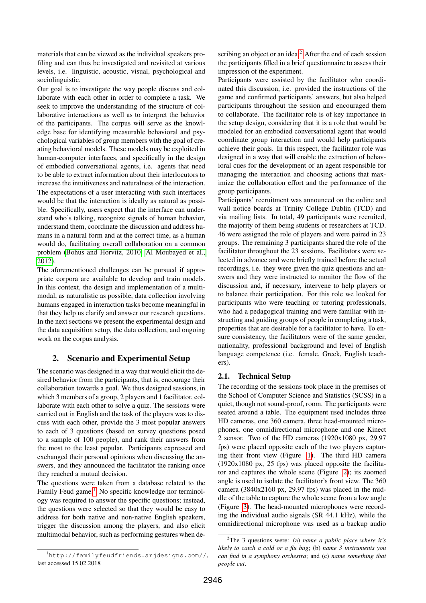materials that can be viewed as the individual speakers profiling and can thus be investigated and revisited at various levels, i.e. linguistic, acoustic, visual, psychological and sociolinguistic.

Our goal is to investigate the way people discuss and collaborate with each other in order to complete a task. We seek to improve the understanding of the structure of collaborative interactions as well as to interpret the behavior of the participants. The corpus will serve as the knowledge base for identifying measurable behavioral and psychological variables of group members with the goal of creating behavioral models. These models may be exploited in human-computer interfaces, and specifically in the design of embodied conversational agents, i.e. agents that need to be able to extract information about their interlocutors to increase the intuitiveness and naturalness of the interaction. The expectations of a user interacting with such interfaces would be that the interaction is ideally as natural as possible. Specifically, users expect that the interface can understand who's talking, recognize signals of human behavior, understand them, coordinate the discussion and address humans in a natural form and at the correct time, as a human would do, facilitating overall collaboration on a common problem [\(Bohus and Horvitz, 2010;](#page-5-2) [Al Moubayed et al.,](#page-5-3) [2012\)](#page-5-3).

The aforementioned challenges can be pursued if appropriate corpora are available to develop and train models. In this context, the design and implementation of a multimodal, as naturalistic as possible, data collection involving humans engaged in interaction tasks become meaningful in that they help us clarify and answer our research questions. In the next sections we present the experimental design and the data acquisition setup, the data collection, and ongoing work on the corpus analysis.

# 2. Scenario and Experimental Setup

The scenario was designed in a way that would elicit the desired behavior from the participants, that is, encourage their collaboration towards a goal. We thus designed sessions, in which 3 members of a group, 2 players and 1 facilitator, collaborate with each other to solve a quiz. The sessions were carried out in English and the task of the players was to discuss with each other, provide the 3 most popular answers to each of 3 questions (based on survey questions posed to a sample of 100 people), and rank their answers from the most to the least popular. Participants expressed and exchanged their personal opinions when discussing the answers, and they announced the facilitator the ranking once they reached a mutual decision.

The questions were taken from a database related to the Family Feud game.<sup>[1](#page-1-0)</sup> No specific knowledge nor terminology was required to answer the specific questions; instead, the questions were selected so that they would be easy to address for both native and non-native English speakers, trigger the discussion among the players, and also elicit multimodal behavior, such as performing gestures when describing an object or an idea.<sup>[2](#page-1-1)</sup> After the end of each session the participants filled in a brief questionnaire to assess their impression of the experiment.

Participants were assisted by the facilitator who coordinated this discussion, i.e. provided the instructions of the game and confirmed participants' answers, but also helped participants throughout the session and encouraged them to collaborate. The facilitator role is of key importance in the setup design, considering that it is a role that would be modeled for an embodied conversational agent that would coordinate group interaction and would help participants achieve their goals. In this respect, the facilitator role was designed in a way that will enable the extraction of behavioral cues for the development of an agent responsible for managing the interaction and choosing actions that maximize the collaboration effort and the performance of the group participants.

Participants' recruitment was announced on the online and wall notice boards at Trinity College Dublin (TCD) and via mailing lists. In total, 49 participants were recruited, the majority of them being students or researchers at TCD. 46 were assigned the role of players and were paired in 23 groups. The remaining 3 participants shared the role of the facilitator throughout the 23 sessions. Facilitators were selected in advance and were briefly trained before the actual recordings, i.e. they were given the quiz questions and answers and they were instructed to monitor the flow of the discussion and, if necessary, intervene to help players or to balance their participation. For this role we looked for participants who were teaching or tutoring professionals, who had a pedagogical training and were familiar with instructing and guiding groups of people in completing a task, properties that are desirable for a facilitator to have. To ensure consistency, the facilitators were of the same gender, nationality, professional background and level of English language competence (i.e. female, Greek, English teachers).

# 2.1. Technical Setup

The recording of the sessions took place in the premises of the School of Computer Science and Statistics (SCSS) in a quiet, though not sound-proof, room. The participants were seated around a table. The equipment used includes three HD cameras, one 360 camera, three head-mounted microphones, one omnidirectional microphone and one Kinect 2 sensor. Two of the HD cameras (1920x1080 px, 29.97 fps) were placed opposite each of the two players capturing their front view (Figure [1\)](#page-2-0). The third HD camera (1920x1080 px, 25 fps) was placed opposite the facilitator and captures the whole scene (Figure [2\)](#page-2-1); its zoomed angle is used to isolate the facilitator's front view. The 360 camera (3840x2160 px, 29.97 fps) was placed in the middle of the table to capture the whole scene from a low angle (Figure [3\)](#page-2-2). The head-mounted microphones were recording the individual audio signals (SR 44.1 kHz), while the omnidirectional microphone was used as a backup audio

<span id="page-1-0"></span><sup>1</sup>http://familyfeudfriends.arjdesigns.com//, last accessed 15.02.2018

<span id="page-1-1"></span><sup>2</sup>The 3 questions were: (a) *name a public place where it's likely to catch a cold or a flu bug*; (b) *name 3 instruments you can find in a symphony orchestra*; and (c) *name something that people cut*.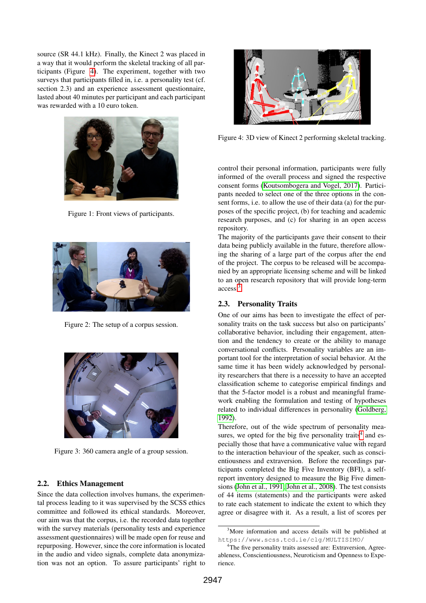source (SR 44.1 kHz). Finally, the Kinect 2 was placed in a way that it would perform the skeletal tracking of all participants (Figure [4\)](#page-2-3). The experiment, together with two surveys that participants filled in, i.e. a personality test (cf. section 2.3) and an experience assessment questionnaire, lasted about 40 minutes per participant and each participant was rewarded with a 10 euro token.



Figure 1: Front views of participants.

<span id="page-2-0"></span>

Figure 2: The setup of a corpus session.

<span id="page-2-1"></span>

Figure 3: 360 camera angle of a group session.

## <span id="page-2-2"></span>2.2. Ethics Management

Since the data collection involves humans, the experimental process leading to it was supervised by the SCSS ethics committee and followed its ethical standards. Moreover, our aim was that the corpus, i.e. the recorded data together with the survey materials (personality tests and experience assessment questionnaires) will be made open for reuse and repurposing. However, since the core information is located in the audio and video signals, complete data anonymization was not an option. To assure participants' right to



<span id="page-2-3"></span>Figure 4: 3D view of Kinect 2 performing skeletal tracking.

control their personal information, participants were fully informed of the overall process and signed the respective consent forms [\(Koutsombogera and Vogel, 2017\)](#page-6-9). Participants needed to select one of the three options in the consent forms, i.e. to allow the use of their data (a) for the purposes of the specific project, (b) for teaching and academic research purposes, and (c) for sharing in an open access repository.

The majority of the participants gave their consent to their data being publicly available in the future, therefore allowing the sharing of a large part of the corpus after the end of the project. The corpus to be released will be accompanied by an appropriate licensing scheme and will be linked to an open research repository that will provide long-term access.[3](#page-2-4)

#### 2.3. Personality Traits

One of our aims has been to investigate the effect of personality traits on the task success but also on participants' collaborative behavior, including their engagement, attention and the tendency to create or the ability to manage conversational conflicts. Personality variables are an important tool for the interpretation of social behavior. At the same time it has been widely acknowledged by personality researchers that there is a necessity to have an accepted classification scheme to categorise empirical findings and that the 5-factor model is a robust and meaningful framework enabling the formulation and testing of hypotheses related to individual differences in personality [\(Goldberg,](#page-6-10) [1992\)](#page-6-10).

Therefore, out of the wide spectrum of personality mea-sures, we opted for the big five personality traits<sup>[4](#page-2-5)</sup> and especially those that have a communicative value with regard to the interaction behaviour of the speaker, such as conscientiousness and extraversion. Before the recordings participants completed the Big Five Inventory (BFI), a selfreport inventory designed to measure the Big Five dimensions [\(John et al., 1991;](#page-6-11) [John et al., 2008\)](#page-6-12). The test consists of 44 items (statements) and the participants were asked to rate each statement to indicate the extent to which they agree or disagree with it. As a result, a list of scores per

<span id="page-2-4"></span><sup>&</sup>lt;sup>3</sup>More information and access details will be published at https://www.scss.tcd.ie/clg/MULTISIMO/

<span id="page-2-5"></span><sup>&</sup>lt;sup>4</sup>The five personality traits assessed are: Extraversion, Agreeableness, Conscientiousness, Neuroticism and Openness to Experience.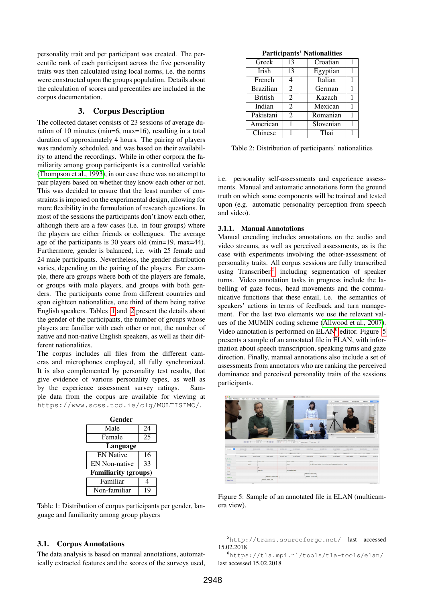personality trait and per participant was created. The percentile rank of each participant across the five personality traits was then calculated using local norms, i.e. the norms were constructed upon the groups population. Details about the calculation of scores and percentiles are included in the corpus documentation.

# 3. Corpus Description

The collected dataset consists of 23 sessions of average duration of 10 minutes (min=6, max=16), resulting in a total duration of approximately 4 hours. The pairing of players was randomly scheduled, and was based on their availability to attend the recordings. While in other corpora the familiarity among group participants is a controlled variable [\(Thompson et al., 1993\)](#page-6-2), in our case there was no attempt to pair players based on whether they know each other or not. This was decided to ensure that the least number of constraints is imposed on the experimental design, allowing for more flexibility in the formulation of research questions. In most of the sessions the participants don't know each other, although there are a few cases (i.e. in four groups) where the players are either friends or colleagues. The average age of the participants is 30 years old (min=19, max=44). Furthermore, gender is balanced, i.e. with 25 female and 24 male participants. Nevertheless, the gender distribution varies, depending on the pairing of the players. For example, there are groups where both of the players are female, or groups with male players, and groups with both genders. The participants come from different countries and span eighteen nationalities, one third of them being native English speakers. Tables [1](#page-3-0) and [2](#page-3-1) present the details about the gender of the participants, the number of groups whose players are familiar with each other or not, the number of native and non-native English speakers, as well as their different nationalities.

The corpus includes all files from the different cameras and microphones employed, all fully synchronized. It is also complemented by personality test results, that give evidence of various personality types, as well as by the experience assessment survey ratings. Sample data from the corpus are available for viewing at https://www.scss.tcd.ie/clg/MULTISIMO/.

| Gender               |    |  |  |
|----------------------|----|--|--|
| Male                 | 24 |  |  |
| Female               | 25 |  |  |
| Language             |    |  |  |
| <b>EN Native</b>     | 16 |  |  |
| <b>EN</b> Non-native | 33 |  |  |
| Familiarity (groups) |    |  |  |
| Familiar             |    |  |  |
| Non-familiar         | 19 |  |  |

<span id="page-3-0"></span>Table 1: Distribution of corpus participants per gender, language and familiarity among group players

## 3.1. Corpus Annotations

The data analysis is based on manual annotations, automatically extracted features and the scores of the surveys used,

Particinants' Nationalities

| Greek            | 13             | Croatian  |   |
|------------------|----------------|-----------|---|
| Irish            | 13             | Egyptian  | 1 |
| French           | 4              | Italian   |   |
| <b>Brazilian</b> | $\overline{2}$ | German    | 1 |
| <b>British</b>   | 2              | Kazach    |   |
| Indian           | 2              | Mexican   |   |
| Pakistani        | $\overline{c}$ | Romanian  |   |
| American         | 1              | Slovenian |   |
| Chinese          |                | Thai      |   |

<span id="page-3-1"></span>Table 2: Distribution of participants' nationalities

i.e. personality self-assessments and experience assessments. Manual and automatic annotations form the ground truth on which some components will be trained and tested upon (e.g. automatic personality perception from speech and video).

## 3.1.1. Manual Annotations

Manual encoding includes annotations on the audio and video streams, as well as perceived assessments, as is the case with experiments involving the other-assessment of personality traits. All corpus sessions are fully transcribed using Transcriber,<sup>[5](#page-3-2)</sup> including segmentation of speaker turns. Video annotation tasks in progress include the labelling of gaze focus, head movements and the communicative functions that these entail, i.e. the semantics of speakers' actions in terms of feedback and turn management. For the last two elements we use the relevant values of the MUMIN coding scheme [\(Allwood et al., 2007\)](#page-5-4). Video annotation is performed on ELAN<sup>[6](#page-3-3)</sup> editor. Figure [5](#page-3-4) presents a sample of an annotated file in ELAN, with information about speech transcription, speaking turns and gaze direction. Finally, manual annotations also include a set of assessments from annotators who are ranking the perceived dominance and perceived personality traits of the sessions participants.



Figure 5: Sample of an annotated file in ELAN (multicamera view).

<span id="page-3-4"></span><span id="page-3-2"></span><sup>5</sup>http://trans.sourceforge.net/ last accessed 15.02.2018

<span id="page-3-3"></span><sup>6</sup>https://tla.mpi.nl/tools/tla-tools/elan/ last accessed 15.02.2018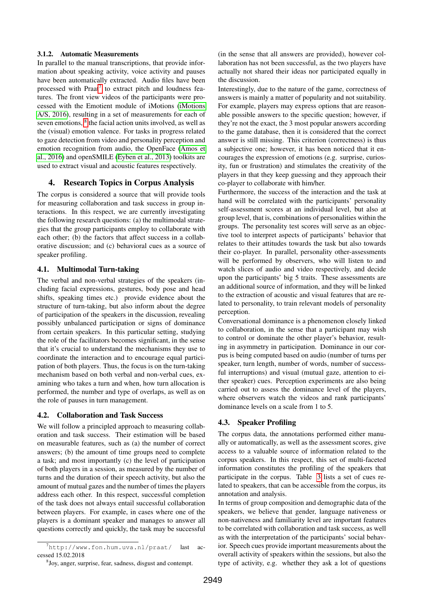#### 3.1.2. Automatic Measurements

In parallel to the manual transcriptions, that provide information about speaking activity, voice activity and pauses have been automatically extracted. Audio files have been processed with Praat<sup>[7](#page-4-0)</sup> to extract pitch and loudness features. The front view videos of the participants were processed with the Emotient module of iMotions [\(iMotions](#page-6-13) [A/S, 2016\)](#page-6-13), resulting in a set of measurements for each of seven emotions, <sup>[8](#page-4-1)</sup> the facial action units involved, as well as the (visual) emotion valence. For tasks in progress related to gaze detection from video and personality perception and emotion recognition from audio, the OpenFace [\(Amos et](#page-5-5) [al., 2016\)](#page-5-5) and openSMILE [\(Eyben et al., 2013\)](#page-5-6) toolkits are used to extract visual and acoustic features respectively.

## 4. Research Topics in Corpus Analysis

The corpus is considered a source that will provide tools for measuring collaboration and task success in group interactions. In this respect, we are currently investigating the following research questions: (a) the multimodal strategies that the group participants employ to collaborate with each other; (b) the factors that affect success in a collaborative discussion; and (c) behavioral cues as a source of speaker profiling.

## 4.1. Multimodal Turn-taking

The verbal and non-verbal strategies of the speakers (including facial expressions, gestures, body pose and head shifts, speaking times etc.) provide evidence about the structure of turn-taking, but also inform about the degree of participation of the speakers in the discussion, revealing possibly unbalanced participation or signs of dominance from certain speakers. In this particular setting, studying the role of the facilitators becomes significant, in the sense that it's crucial to understand the mechanisms they use to coordinate the interaction and to encourage equal participation of both players. Thus, the focus is on the turn-taking mechanism based on both verbal and non-verbal cues, examining who takes a turn and when, how turn allocation is performed, the number and type of overlaps, as well as on the role of pauses in turn management.

#### 4.2. Collaboration and Task Success

We will follow a principled approach to measuring collaboration and task success. Their estimation will be based on measurable features, such as (a) the number of correct answers; (b) the amount of time groups need to complete a task; and most importantly (c) the level of participation of both players in a session, as measured by the number of turns and the duration of their speech activity, but also the amount of mutual gazes and the number of times the players address each other. In this respect, successful completion of the task does not always entail successful collaboration between players. For example, in cases where one of the players is a dominant speaker and manages to answer all questions correctly and quickly, the task may be successful (in the sense that all answers are provided), however collaboration has not been successful, as the two players have actually not shared their ideas nor participated equally in the discussion.

Interestingly, due to the nature of the game, correctness of answers is mainly a matter of popularity and not suitability. For example, players may express options that are reasonable possible answers to the specific question; however, if they're not the exact, the 3 most popular answers according to the game database, then it is considered that the correct answer is still missing. This criterion (correctness) is thus a subjective one; however, it has been noticed that it encourages the expression of emotions (e.g. surprise, curiosity, fun or frustration) and stimulates the creativity of the players in that they keep guessing and they approach their co-player to collaborate with him/her.

Furthermore, the success of the interaction and the task at hand will be correlated with the participants' personality self-assessment scores at an individual level, but also at group level, that is, combinations of personalities within the groups. The personality test scores will serve as an objective tool to interpret aspects of participants' behavior that relates to their attitudes towards the task but also towards their co-player. In parallel, personality other-assessments will be performed by observers, who will listen to and watch slices of audio and video respectively, and decide upon the participants' big 5 traits. These assessments are an additional source of information, and they will be linked to the extraction of acoustic and visual features that are related to personality, to train relevant models of personality perception.

Conversational dominance is a phenomenon closely linked to collaboration, in the sense that a participant may wish to control or dominate the other player's behavior, resulting in asymmetry in participation. Dominance in our corpus is being computed based on audio (number of turns per speaker, turn length, number of words, number of successful interruptions) and visual (mutual gaze, attention to either speaker) cues. Perception experiments are also being carried out to assess the dominance level of the players, where observers watch the videos and rank participants' dominance levels on a scale from 1 to 5.

#### 4.3. Speaker Profiling

The corpus data, the annotations performed either manually or automatically, as well as the assessment scores, give access to a valuable source of information related to the corpus speakers. In this respect, this set of multi-faceted information constitutes the profiling of the speakers that participate in the corpus. Table [3](#page-5-7) lists a set of cues related to speakers, that can be accessible from the corpus, its annotation and analysis.

In terms of group composition and demographic data of the speakers, we believe that gender, language nativeness or non-nativeness and familiarity level are important features to be correlated with collaboration and task success, as well as with the interpretation of the participants' social behavior. Speech cues provide important measurements about the overall activity of speakers within the sessions, but also the type of activity, e.g. whether they ask a lot of questions

<span id="page-4-0"></span> $^{7}$ http://www.fon.hum.uva.nl/praat/ last accessed 15.02.2018

<span id="page-4-1"></span><sup>8</sup> Joy, anger, surprise, fear, sadness, disgust and contempt.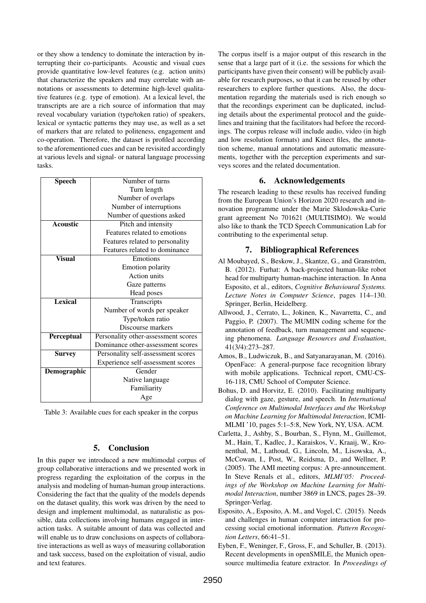or they show a tendency to dominate the interaction by interrupting their co-participants. Acoustic and visual cues provide quantitative low-level features (e.g. action units) that characterize the speakers and may correlate with annotations or assessments to determine high-level qualitative features (e.g. type of emotion). At a lexical level, the transcripts are are a rich source of information that may reveal vocabulary variation (type/token ratio) of speakers, lexical or syntactic patterns they may use, as well as a set of markers that are related to politeness, engagement and co-operation. Therefore, the dataset is profiled according to the aforementioned cues and can be revisited accordingly at various levels and signal- or natural language processing tasks.

| <b>Speech</b>   | Number of turns                     |  |
|-----------------|-------------------------------------|--|
|                 | Turn length                         |  |
|                 | Number of overlaps                  |  |
|                 | Number of interruptions             |  |
|                 | Number of questions asked           |  |
| <b>Acoustic</b> | Pitch and intensity                 |  |
|                 | Features related to emotions        |  |
|                 | Features related to personality     |  |
|                 | Features related to dominance       |  |
| <b>Visual</b>   | Emotions                            |  |
|                 | <b>Emotion</b> polarity             |  |
|                 | <b>Action</b> units                 |  |
|                 | Gaze patterns                       |  |
|                 | Head poses                          |  |
| <b>Lexical</b>  | Transcripts                         |  |
|                 | Number of words per speaker         |  |
|                 | Type/token ratio                    |  |
|                 | Discourse markers                   |  |
| Perceptual      | Personality other-assessment scores |  |
|                 | Dominance other-assessment scores   |  |
| <b>Survey</b>   | Personality self-assessment scores  |  |
|                 | Experience self-assessment scores   |  |
| Demographic     | Gender                              |  |
|                 | Native language                     |  |
|                 | Familiarity                         |  |
|                 | Age                                 |  |

<span id="page-5-7"></span>Table 3: Available cues for each speaker in the corpus

## 5. Conclusion

In this paper we introduced a new multimodal corpus of group collaborative interactions and we presented work in progress regarding the exploitation of the corpus in the analysis and modeling of human-human group interactions. Considering the fact that the quality of the models depends on the dataset quality, this work was driven by the need to design and implement multimodal, as naturalistic as possible, data collections involving humans engaged in interaction tasks. A suitable amount of data was collected and will enable us to draw conclusions on aspects of collaborative interactions as well as ways of measuring collaboration and task success, based on the exploitation of visual, audio and text features.

The corpus itself is a major output of this research in the sense that a large part of it (i.e. the sessions for which the participants have given their consent) will be publicly available for research purposes, so that it can be reused by other researchers to explore further questions. Also, the documentation regarding the materials used is rich enough so that the recordings experiment can be duplicated, including details about the experimental protocol and the guidelines and training that the facilitators had before the recordings. The corpus release will include audio, video (in high and low resolution formats) and Kinect files, the annotation scheme, manual annotations and automatic measurements, together with the perception experiments and surveys scores and the related documentation.

# 6. Acknowledgements

The research leading to these results has received funding from the European Union's Horizon 2020 research and innovation programme under the Marie Sklodowska-Curie grant agreement No 701621 (MULTISIMO). We would also like to thank the TCD Speech Communication Lab for contributing to the experimental setup.

# 7. Bibliographical References

- <span id="page-5-3"></span>Al Moubayed, S., Beskow, J., Skantze, G., and Granström, B. (2012). Furhat: A back-projected human-like robot head for multiparty human-machine interaction. In Anna Esposito, et al., editors, *Cognitive Behavioural Systems. Lecture Notes in Computer Science*, pages 114–130. Springer, Berlin, Heidelberg.
- <span id="page-5-4"></span>Allwood, J., Cerrato, L., Jokinen, K., Navarretta, C., and Paggio, P. (2007). The MUMIN coding scheme for the annotation of feedback, turn management and sequencing phenomena. *Language Resources and Evaluation*, 41(3/4):273–287.
- <span id="page-5-5"></span>Amos, B., Ludwiczuk, B., and Satyanarayanan, M. (2016). OpenFace: A general-purpose face recognition library with mobile applications. Technical report, CMU-CS-16-118, CMU School of Computer Science.
- <span id="page-5-2"></span>Bohus, D. and Horvitz, E. (2010). Facilitating multiparty dialog with gaze, gesture, and speech. In *International Conference on Multimodal Interfaces and the Workshop on Machine Learning for Multimodal Interaction*, ICMI-MLMI '10, pages 5:1–5:8, New York, NY, USA. ACM.
- <span id="page-5-1"></span>Carletta, J., Ashby, S., Bourban, S., Flynn, M., Guillemot, M., Hain, T., Kadlec, J., Karaiskos, V., Kraaij, W., Kronenthal, M., Lathoud, G., Lincoln, M., Lisowska, A., McCowan, I., Post, W., Reidsma, D., and Wellner, P. (2005). The AMI meeting corpus: A pre-announcement. In Steve Renals et al., editors, *MLMI'05: Proceedings of the Workshop on Machine Learning for Multimodal Interaction*, number 3869 in LNCS, pages 28–39. Springer-Verlag.
- <span id="page-5-0"></span>Esposito, A., Esposito, A. M., and Vogel, C. (2015). Needs and challenges in human computer interaction for processing social emotional information. *Pattern Recognition Letters*, 66:41–51.
- <span id="page-5-6"></span>Eyben, F., Weninger, F., Gross, F., and Schuller, B. (2013). Recent developments in openSMILE, the Munich opensource multimedia feature extractor. In *Proceedings of*